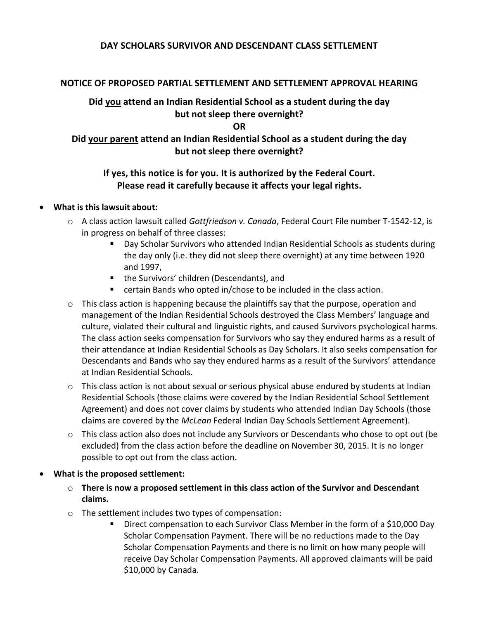## **DAY SCHOLARS SURVIVOR AND DESCENDANT CLASS SETTLEMENT**

#### **NOTICE OF PROPOSED PARTIAL SETTLEMENT AND SETTLEMENT APPROVAL HEARING**

## **Did you attend an Indian Residential School as a student during the day but not sleep there overnight?**

**OR**

## **Did your parent attend an Indian Residential School as a student during the day but not sleep there overnight?**

## **If yes, this notice is for you. It is authorized by the Federal Court. Please read it carefully because it affects your legal rights.**

#### • **What is this lawsuit about:**

- o A class action lawsuit called *Gottfriedson v. Canada*, Federal Court File number T-1542-12, is in progress on behalf of three classes:
	- Day Scholar Survivors who attended Indian Residential Schools as students during the day only (i.e. they did not sleep there overnight) at any time between 1920 and 1997,
	- the Survivors' children (Descendants), and
	- certain Bands who opted in/chose to be included in the class action.
- $\circ$  This class action is happening because the plaintiffs say that the purpose, operation and management of the Indian Residential Schools destroyed the Class Members' language and culture, violated their cultural and linguistic rights, and caused Survivors psychological harms. The class action seeks compensation for Survivors who say they endured harms as a result of their attendance at Indian Residential Schools as Day Scholars. It also seeks compensation for Descendants and Bands who say they endured harms as a result of the Survivors' attendance at Indian Residential Schools.
- o This class action is not about sexual or serious physical abuse endured by students at Indian Residential Schools (those claims were covered by the Indian Residential School Settlement Agreement) and does not cover claims by students who attended Indian Day Schools (those claims are covered by the *McLean* Federal Indian Day Schools Settlement Agreement).
- o This class action also does not include any Survivors or Descendants who chose to opt out (be excluded) from the class action before the deadline on November 30, 2015. It is no longer possible to opt out from the class action.

## • **What is the proposed settlement:**

- o **There is now a proposed settlement in this class action of the Survivor and Descendant claims.**
- o The settlement includes two types of compensation:
	- Direct compensation to each Survivor Class Member in the form of a \$10,000 Day Scholar Compensation Payment. There will be no reductions made to the Day Scholar Compensation Payments and there is no limit on how many people will receive Day Scholar Compensation Payments. All approved claimants will be paid \$10,000 by Canada.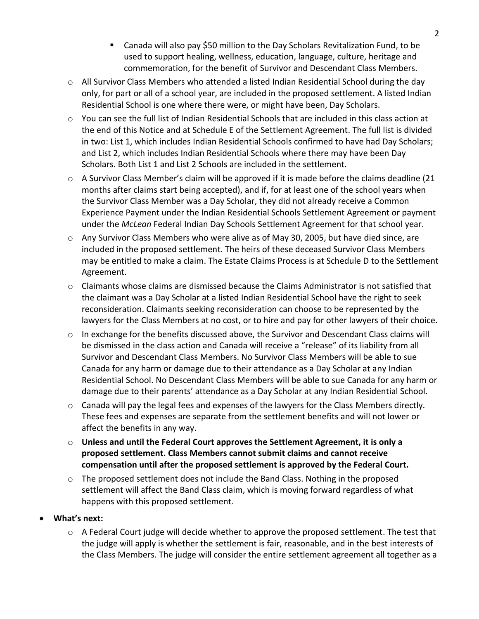- Canada will also pay \$50 million to the Day Scholars Revitalization Fund, to be used to support healing, wellness, education, language, culture, heritage and commemoration, for the benefit of Survivor and Descendant Class Members.
- $\circ$  All Survivor Class Members who attended a listed Indian Residential School during the day only, for part or all of a school year, are included in the proposed settlement. A listed Indian Residential School is one where there were, or might have been, Day Scholars.
- o You can see the full list of Indian Residential Schools that are included in this class action at the end of this Notice and at Schedule E of the Settlement Agreement. The full list is divided in two: List 1, which includes Indian Residential Schools confirmed to have had Day Scholars; and List 2, which includes Indian Residential Schools where there may have been Day Scholars. Both List 1 and List 2 Schools are included in the settlement.
- $\circ$  A Survivor Class Member's claim will be approved if it is made before the claims deadline (21 months after claims start being accepted), and if, for at least one of the school years when the Survivor Class Member was a Day Scholar, they did not already receive a Common Experience Payment under the Indian Residential Schools Settlement Agreement or payment under the *McLean* Federal Indian Day Schools Settlement Agreement for that school year.
- o Any Survivor Class Members who were alive as of May 30, 2005, but have died since, are included in the proposed settlement. The heirs of these deceased Survivor Class Members may be entitled to make a claim. The Estate Claims Process is at Schedule D to the Settlement Agreement.
- $\circ$  Claimants whose claims are dismissed because the Claims Administrator is not satisfied that the claimant was a Day Scholar at a listed Indian Residential School have the right to seek reconsideration. Claimants seeking reconsideration can choose to be represented by the lawyers for the Class Members at no cost, or to hire and pay for other lawyers of their choice.
- $\circ$  In exchange for the benefits discussed above, the Survivor and Descendant Class claims will be dismissed in the class action and Canada will receive a "release" of its liability from all Survivor and Descendant Class Members. No Survivor Class Members will be able to sue Canada for any harm or damage due to their attendance as a Day Scholar at any Indian Residential School. No Descendant Class Members will be able to sue Canada for any harm or damage due to their parents' attendance as a Day Scholar at any Indian Residential School.
- $\circ$  Canada will pay the legal fees and expenses of the lawyers for the Class Members directly. These fees and expenses are separate from the settlement benefits and will not lower or affect the benefits in any way.
- o **Unless and until the Federal Court approves the Settlement Agreement, it is only a proposed settlement. Class Members cannot submit claims and cannot receive compensation until after the proposed settlement is approved by the Federal Court.**
- $\circ$  The proposed settlement does not include the Band Class. Nothing in the proposed settlement will affect the Band Class claim, which is moving forward regardless of what happens with this proposed settlement.
- **What's next:**
	- $\circ$  A Federal Court judge will decide whether to approve the proposed settlement. The test that the judge will apply is whether the settlement is fair, reasonable, and in the best interests of the Class Members. The judge will consider the entire settlement agreement all together as a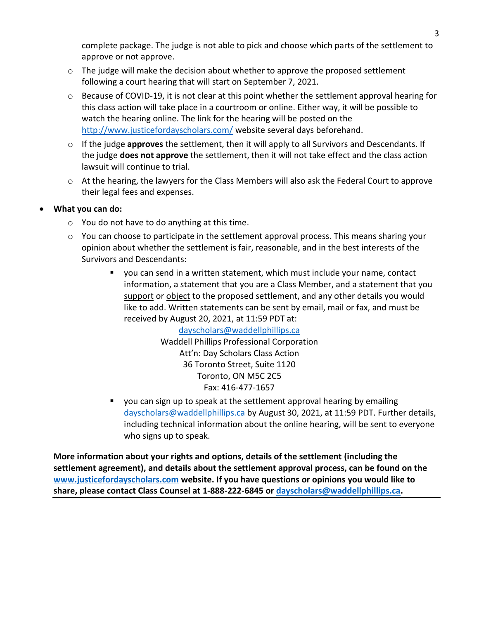complete package. The judge is not able to pick and choose which parts of the settlement to approve or not approve.

- $\circ$  The judge will make the decision about whether to approve the proposed settlement following a court hearing that will start on September 7, 2021.
- $\circ$  Because of COVID-19, it is not clear at this point whether the settlement approval hearing for this class action will take place in a courtroom or online. Either way, it will be possible to watch the hearing online. The link for the hearing will be posted on the <http://www.justicefordayscholars.com/> website several days beforehand.
- o If the judge **approves** the settlement, then it will apply to all Survivors and Descendants. If the judge **does not approve** the settlement, then it will not take effect and the class action lawsuit will continue to trial.
- o At the hearing, the lawyers for the Class Members will also ask the Federal Court to approve their legal fees and expenses.
- **What you can do:**
	- o You do not have to do anything at this time.
	- o You can choose to participate in the settlement approval process. This means sharing your opinion about whether the settlement is fair, reasonable, and in the best interests of the Survivors and Descendants:
		- you can send in a written statement, which must include your name, contact information, a statement that you are a Class Member, and a statement that you support or object to the proposed settlement, and any other details you would like to add. Written statements can be sent by email, mail or fax, and must be received by August 20, 2021, at 11:59 PDT at:

[dayscholars@waddellphillips.ca](mailto:dayscholars@waddellphillips.ca) Waddell Phillips Professional Corporation Att'n: Day Scholars Class Action 36 Toronto Street, Suite 1120 Toronto, ON M5C 2C5 Fax: 416-477-1657

■ you can sign up to speak at the settlement approval hearing by emailing [dayscholars@waddellphillips.ca](mailto:dayscholars@waddellphillips.ca) by August 30, 2021, at 11:59 PDT. Further details, including technical information about the online hearing, will be sent to everyone who signs up to speak.

**More information about your rights and options, details of the settlement (including the settlement agreement), and details about the settlement approval process, can be found on the [www.justicefordayscholars.com](http://www.justicefordayscholars.com/) website. If you have questions or opinions you would like to share, please contact Class Counsel at 1-888-222-6845 or [dayscholars@waddellphillips.ca.](mailto:dayscholars@waddellphillips.ca)**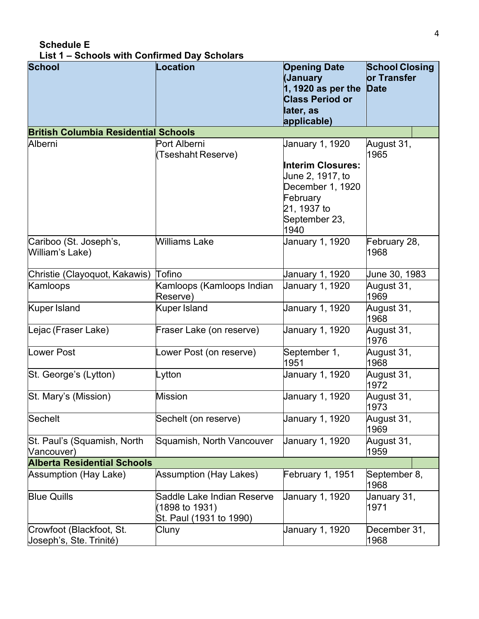| <b>School</b>                                       | <b>Location</b>                                                         | <b>Opening Date</b><br>(January<br>1, 1920 as per the<br><b>Class Period or</b><br>later, as | <b>School Closing</b><br>or Transfer<br><b>Date</b> |
|-----------------------------------------------------|-------------------------------------------------------------------------|----------------------------------------------------------------------------------------------|-----------------------------------------------------|
|                                                     |                                                                         | applicable)                                                                                  |                                                     |
| <b>British Columbia Residential Schools</b>         |                                                                         |                                                                                              |                                                     |
| Alberni                                             | Port Alberni<br>(Tseshaht Reserve)                                      | January 1, 1920<br><b>Interim Closures:</b><br>June 2, 1917, to                              | August 31,<br>1965                                  |
|                                                     |                                                                         | December 1, 1920<br>February<br>21, 1937 to<br>September 23,<br>1940                         |                                                     |
| Cariboo (St. Joseph's,<br>William's Lake)           | <b>Williams Lake</b>                                                    | January 1, 1920                                                                              | February 28,<br>1968                                |
| Christie (Clayoquot, Kakawis)                       | Tofino                                                                  | January 1, 1920                                                                              | June 30, 1983                                       |
| Kamloops                                            | Kamloops (Kamloops Indian<br>Reserve)                                   | January 1, 1920                                                                              | August 31,<br>1969                                  |
| Kuper Island                                        | <b>Kuper Island</b>                                                     | January 1, 1920                                                                              | August 31,<br>1968                                  |
| Lejac (Fraser Lake)                                 | Fraser Lake (on reserve)                                                | January 1, 1920                                                                              | August 31,<br>1976                                  |
| <b>Lower Post</b>                                   | Lower Post (on reserve)                                                 | September 1,<br>1951                                                                         | August 31,<br>1968                                  |
| St. George's (Lytton)                               | Lytton                                                                  | January 1, 1920                                                                              | August 31,<br>1972                                  |
| St. Mary's (Mission)                                | <b>Mission</b>                                                          | January 1, 1920                                                                              | August 31,<br>1973                                  |
| <b>Sechelt</b>                                      | Sechelt (on reserve)                                                    | January 1, 1920                                                                              | August 31,<br>1969                                  |
| St. Paul's (Squamish, North<br>Vancouver)           | Squamish, North Vancouver                                               | January 1, 1920                                                                              | August 31,<br>1959                                  |
| <b>Alberta Residential Schools</b>                  |                                                                         |                                                                                              |                                                     |
| <b>Assumption (Hay Lake)</b>                        | Assumption (Hay Lakes)                                                  | February 1, 1951                                                                             | September 8,<br>1968                                |
| <b>Blue Quills</b>                                  | Saddle Lake Indian Reserve<br>(1898 to 1931)<br>St. Paul (1931 to 1990) | January 1, 1920                                                                              | January 31,<br>1971                                 |
| Crowfoot (Blackfoot, St.<br>Joseph's, Ste. Trinité) | Cluny                                                                   | January 1, 1920                                                                              | December 31,<br>1968                                |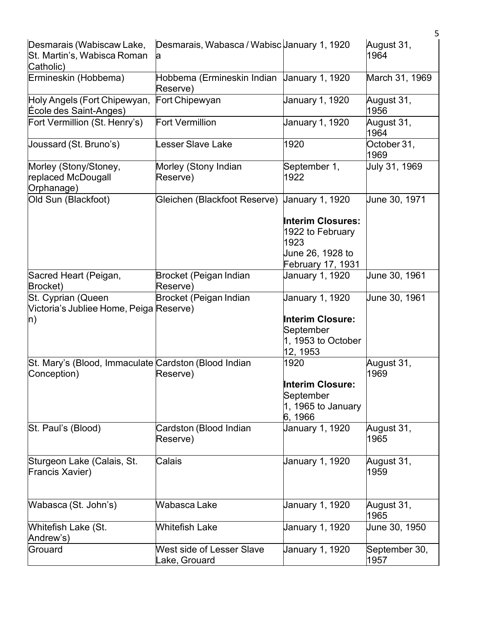|                                                                       |                                                        |                                                                                               | 5                     |
|-----------------------------------------------------------------------|--------------------------------------------------------|-----------------------------------------------------------------------------------------------|-----------------------|
| Desmarais (Wabiscaw Lake,<br>St. Martin's, Wabisca Roman<br>Catholic) | Desmarais, Wabasca / Wabisc January 1, 1920<br>a       |                                                                                               | August 31,<br>1964    |
| Ermineskin (Hobbema)                                                  | Hobbema (Ermineskin Indian Uanuary 1, 1920<br>Reserve) |                                                                                               | March 31, 1969        |
| Holy Angels (Fort Chipewyan,<br>École des Saint-Anges)                | Fort Chipewyan                                         | January 1, 1920                                                                               | August 31,<br>1956    |
| Fort Vermillion (St. Henry's)                                         | <b>Fort Vermillion</b>                                 | January 1, 1920                                                                               | August 31,<br>1964    |
| Joussard (St. Bruno's)                                                | esser Slave Lake                                       | 1920                                                                                          | October 31,<br>1969   |
| Morley (Stony/Stoney,<br>replaced McDougall<br>Orphanage)             | Morley (Stony Indian<br>Reserve)                       | September 1,<br>1922                                                                          | Uuly 31, 1969         |
| Old Sun (Blackfoot)                                                   | Gleichen (Blackfoot Reserve)                           | <b>January 1, 1920</b>                                                                        | June 30, 1971         |
|                                                                       |                                                        | <b>Interim Closures:</b><br>1922 to February<br>1923<br>June 26, 1928 to<br>February 17, 1931 |                       |
| Sacred Heart (Peigan,<br>Brocket)                                     | Brocket (Peigan Indian<br>Reserve)                     | January 1, 1920                                                                               | <b>June 30, 1961</b>  |
| St. Cyprian (Queen<br>Victoria's Jubliee Home, Peiga Reserve)<br>n)   | Brocket (Peigan Indian                                 | January 1, 1920<br><b>Interim Closure:</b><br>September<br>1, 1953 to October<br>12, 1953     | June 30, 1961         |
| St. Mary's (Blood, Immaculate Cardston (Blood Indian<br>Conception)   | Reserve)                                               | 1920<br><b>Interim Closure:</b><br>September<br>1, 1965 to January<br>6, 1966                 | August 31,<br>1969    |
| St. Paul's (Blood)                                                    | Cardston (Blood Indian<br>Reserve)                     | January 1, 1920                                                                               | August 31,<br>1965    |
| Sturgeon Lake (Calais, St.<br>Francis Xavier)                         | Calais                                                 | January 1, 1920                                                                               | August 31,<br>1959    |
| Wabasca (St. John's)                                                  | Wabasca Lake                                           | January 1, 1920                                                                               | August 31,<br>1965    |
| Whitefish Lake (St.<br>Andrew's)                                      | <b>Whitefish Lake</b>                                  | January 1, 1920                                                                               | June 30, 1950         |
| Grouard                                                               | West side of Lesser Slave<br>Lake, Grouard             | January 1, 1920                                                                               | September 30,<br>1957 |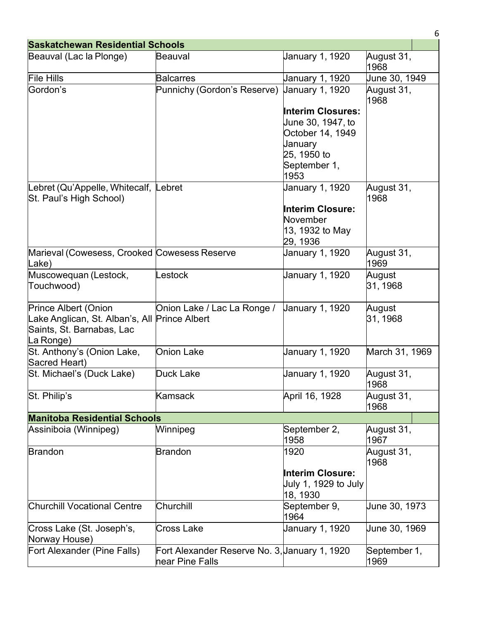| <b>Saskatchewan Residential Schools</b>                                                                                |                                                                  |                                                                                                                                               |                      |  |
|------------------------------------------------------------------------------------------------------------------------|------------------------------------------------------------------|-----------------------------------------------------------------------------------------------------------------------------------------------|----------------------|--|
| Beauval (Lac la Plonge)                                                                                                | <b>Beauval</b>                                                   | January 1, 1920                                                                                                                               | August 31,<br>1968   |  |
| <b>File Hills</b>                                                                                                      | <b>Balcarres</b>                                                 | January 1, 1920                                                                                                                               | June 30, 1949        |  |
| Gordon's                                                                                                               | Punnichy (Gordon's Reserve)                                      | <b>January 1, 1920</b><br><b>Interim Closures:</b><br>June 30, 1947, to<br>October 14, 1949<br>January<br>25, 1950 to<br>September 1,<br>1953 | August 31,<br>1968   |  |
| Lebret (Qu'Appelle, Whitecalf, Lebret<br>St. Paul's High School)                                                       |                                                                  | January 1, 1920<br><b>Interim Closure:</b><br>November<br>13, 1932 to May<br>29, 1936                                                         | August 31,<br>1968   |  |
| Marieval (Cowesess, Crooked Cowesess Reserve<br>Lake)                                                                  |                                                                  | January 1, 1920                                                                                                                               | August 31,<br>1969   |  |
| Muscowequan (Lestock,<br>Touchwood)                                                                                    | _estock                                                          | January 1, 1920                                                                                                                               | August<br>31, 1968   |  |
| <b>Prince Albert (Onion</b><br>Lake Anglican, St. Alban's, All Prince Albert<br>Saints, St. Barnabas, Lac<br>La Ronge) | Onion Lake / Lac La Ronge /                                      | <b>January 1, 1920</b>                                                                                                                        | August<br>31, 1968   |  |
| St. Anthony's (Onion Lake,<br>Sacred Heart)                                                                            | <b>Onion Lake</b>                                                | January 1, 1920                                                                                                                               | March 31, 1969       |  |
| St. Michael's (Duck Lake)                                                                                              | Duck Lake                                                        | January 1, 1920                                                                                                                               | August 31,<br>1968   |  |
| St. Philip's                                                                                                           | Kamsack                                                          | April 16, 1928                                                                                                                                | August 31,<br>1968   |  |
| <b>Manitoba Residential Schools</b>                                                                                    |                                                                  |                                                                                                                                               |                      |  |
| Assiniboia (Winnipeg)                                                                                                  | Winnipeg                                                         | September 2,<br>1958                                                                                                                          | August 31,<br>1967   |  |
| <b>Brandon</b>                                                                                                         | <b>Brandon</b>                                                   | 1920<br><b>Interim Closure:</b><br>July 1, 1929 to July<br>18, 1930                                                                           | August 31,<br>1968   |  |
| <b>Churchill Vocational Centre</b>                                                                                     | Churchill                                                        | September 9,<br>1964                                                                                                                          | June 30, 1973        |  |
| Cross Lake (St. Joseph's,<br>Norway House)                                                                             | <b>Cross Lake</b>                                                | January 1, 1920                                                                                                                               | June 30, 1969        |  |
| Fort Alexander (Pine Falls)                                                                                            | Fort Alexander Reserve No. 3, January 1, 1920<br>near Pine Falls |                                                                                                                                               | September 1,<br>1969 |  |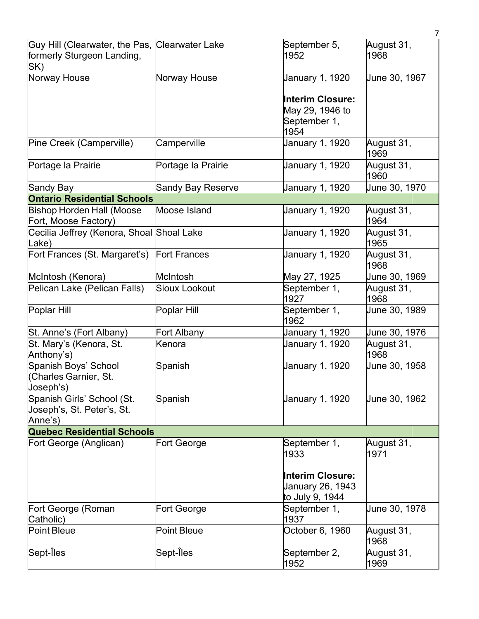|                                                                                     |                    |                                                                    | $\overline{7}$     |
|-------------------------------------------------------------------------------------|--------------------|--------------------------------------------------------------------|--------------------|
| Guy Hill (Clearwater, the Pas, Clearwater Lake<br>formerly Sturgeon Landing,<br>SK) |                    | September 5,<br>1952                                               | August 31,<br>1968 |
| Norway House                                                                        | Norway House       | January 1, 1920                                                    | June 30, 1967      |
|                                                                                     |                    | <b>Interim Closure:</b><br>May 29, 1946 to<br>September 1,<br>1954 |                    |
| Pine Creek (Camperville)                                                            | Camperville        | January 1, 1920                                                    | August 31,<br>1969 |
| Portage la Prairie                                                                  | Portage la Prairie | January 1, 1920                                                    | August 31,<br>1960 |
| Sandy Bay                                                                           | Sandy Bay Reserve  | January 1, 1920                                                    | June 30, 1970      |
| <b>Ontario Residential Schools</b>                                                  |                    |                                                                    |                    |
| <b>Bishop Horden Hall (Moose</b><br>Fort, Moose Factory)                            | Moose Island       | January 1, 1920                                                    | August 31,<br>1964 |
| Cecilia Jeffrey (Kenora, Shoal Shoal Lake<br>Lake)                                  |                    | January 1, 1920                                                    | August 31,<br>1965 |
| Fort Frances (St. Margaret's) Fort Frances                                          |                    | January 1, 1920                                                    | August 31,<br>1968 |
| McIntosh (Kenora)                                                                   | McIntosh           | May 27, 1925                                                       | June 30, 1969      |
| Pelican Lake (Pelican Falls)                                                        | Sioux Lookout      | September 1,<br>1927                                               | August 31,<br>1968 |
| Poplar Hill                                                                         | Poplar Hill        | September 1,<br>1962                                               | June 30, 1989      |
| St. Anne's (Fort Albany)                                                            | Fort Albany        | January 1, 1920                                                    | June 30, 1976      |
| St. Mary's (Kenora, St.<br>Anthony's)                                               | Kenora             | January 1, 1920                                                    | August 31,<br>1968 |
| Spanish Boys' School<br>(Charles Garnier, St.<br>Joseph's)                          | Spanish            | January 1, 1920                                                    | June 30, 1958      |
| Spanish Girls' School (St.<br>Joseph's, St. Peter's, St.<br>Anne's)                 | Spanish            | January 1, 1920                                                    | June 30, 1962      |
| <b>Quebec Residential Schools</b>                                                   |                    |                                                                    |                    |
| Fort George (Anglican)                                                              | Fort George        | September 1,<br>1933                                               | August 31,<br>1971 |
|                                                                                     |                    | <b>Interim Closure:</b><br>January 26, 1943<br>to July 9, 1944     |                    |
| Fort George (Roman<br>Catholic)                                                     | Fort George        | September 1,<br>1937                                               | June 30, 1978      |
| <b>Point Bleue</b>                                                                  | <b>Point Bleue</b> | October 6, 1960                                                    | August 31,<br>1968 |
| Sept-Îles                                                                           | Sept-Îles          | September 2,<br>1952                                               | August 31,<br>1969 |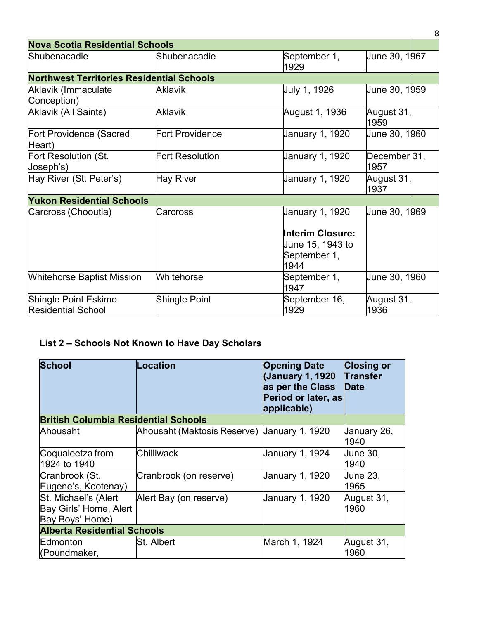| <b>Nova Scotia Residential Schools</b>            |                        |                                                                |                      |
|---------------------------------------------------|------------------------|----------------------------------------------------------------|----------------------|
| Shubenacadie                                      | Shubenacadie           | September 1,<br>1929                                           | June 30, 1967        |
| <b>Northwest Territories Residential Schools</b>  |                        |                                                                |                      |
| Aklavik (Immaculate<br>Conception)                | <b>Aklavik</b>         | July 1, 1926                                                   | June 30, 1959        |
| Aklavik (All Saints)                              | <b>Aklavik</b>         | August 1, 1936                                                 | August 31,<br>1959   |
| Fort Providence (Sacred<br>Heart)                 | <b>Fort Providence</b> | January 1, 1920                                                | June 30, 1960        |
| Fort Resolution (St.<br>Joseph's)                 | Fort Resolution        | January 1, 1920                                                | December 31,<br>1957 |
| Hay River (St. Peter's)                           | Hay River              | January 1, 1920                                                | August 31,<br>1937   |
| <b>Yukon Residential Schools</b>                  |                        |                                                                |                      |
| Carcross (Chooutla)                               | Carcross               | January 1, 1920<br><b>Interim Closure:</b><br>June 15, 1943 to | June 30, 1969        |
|                                                   |                        | September 1,<br>1944                                           |                      |
| <b>Whitehorse Baptist Mission</b>                 | <b>Whitehorse</b>      | September 1,<br>1947                                           | June 30, 1960        |
| Shingle Point Eskimo<br><b>Residential School</b> | <b>Shingle Point</b>   | September 16,<br>1929                                          | August 31,<br>1936   |

# **List 2 – Schools Not Known to Have Day Scholars**

| <b>School</b>                                                     | <b>Location</b>                             | <b>Opening Date</b><br>(January 1, 1920<br>as per the Class<br>Period or later, as<br>applicable) | <b>Closing or</b><br><b>Transfer</b><br><b>Date</b> |
|-------------------------------------------------------------------|---------------------------------------------|---------------------------------------------------------------------------------------------------|-----------------------------------------------------|
| <b>British Columbia Residential Schools</b>                       |                                             |                                                                                                   |                                                     |
| Ahousaht                                                          | Ahousaht (Maktosis Reserve) Uanuary 1, 1920 |                                                                                                   | January 26,<br>1940                                 |
| Coqualeetza from<br>1924 to 1940                                  | Chilliwack                                  | January 1, 1924                                                                                   | <b>June 30,</b><br>1940                             |
| Cranbrook (St.<br>Eugene's, Kootenay)                             | Cranbrook (on reserve)                      | January 1, 1920                                                                                   | <b>June 23,</b><br>1965                             |
| St. Michael's (Alert<br>Bay Girls' Home, Alert<br>Bay Boys' Home) | Alert Bay (on reserve)                      | January 1, 1920                                                                                   | August 31,<br>1960                                  |
| <b>Alberta Residential Schools</b>                                |                                             |                                                                                                   |                                                     |
| Edmonton<br>(Poundmaker,                                          | St. Albert                                  | March 1, 1924                                                                                     | August 31,<br>1960                                  |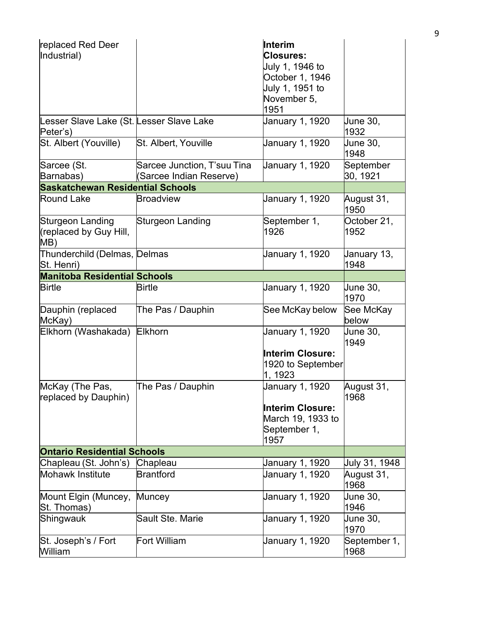| replaced Red Deer<br>Industrial)                     |                                                        | Interim<br><b>Closures:</b><br>July 1, 1946 to<br>October 1, 1946<br>July 1, 1951 to<br>November 5,<br>1951 |                       |
|------------------------------------------------------|--------------------------------------------------------|-------------------------------------------------------------------------------------------------------------|-----------------------|
| Lesser Slave Lake (St. Lesser Slave Lake<br>Peter's) |                                                        | January 1, 1920                                                                                             | June 30,<br>1932      |
| St. Albert (Youville)                                | St. Albert, Youville                                   | January 1, 1920                                                                                             | June 30,<br>1948      |
| Sarcee (St.<br>Barnabas)                             | Sarcee Junction, T'suu Tina<br>(Sarcee Indian Reserve) | January 1, 1920                                                                                             | September<br>30, 1921 |
| <b>Saskatchewan Residential Schools</b>              |                                                        |                                                                                                             |                       |
| <b>Round Lake</b>                                    | <b>Broadview</b>                                       | January 1, 1920                                                                                             | August 31,<br>1950    |
| Sturgeon Landing<br>(replaced by Guy Hill,<br>MB)    | Sturgeon Landing                                       | September 1,<br>1926                                                                                        | October 21,<br>1952   |
| Thunderchild (Delmas, Delmas<br>St. Henri)           |                                                        | January 1, 1920                                                                                             | January 13,<br>1948   |
| <b>Manitoba Residential Schools</b>                  |                                                        |                                                                                                             |                       |
| <b>Birtle</b>                                        | <b>Birtle</b>                                          | January 1, 1920                                                                                             | June 30,<br>1970      |
| Dauphin (replaced<br>McKay)                          | The Pas / Dauphin                                      | See McKay below                                                                                             | See McKay<br>below    |
| Elkhorn (Washakada)                                  | <b>Elkhorn</b>                                         | January 1, 1920<br><b>Interim Closure:</b><br>1920 to September<br>1, 1923                                  | June 30,<br>1949      |
| McKay (The Pas,<br>replaced by Dauphin)              | The Pas / Dauphin                                      | January 1, 1920<br><b>Interim Closure:</b><br>March 19, 1933 to<br>September 1,<br>1957                     | August 31,<br>1968    |
| <b>Ontario Residential Schools</b>                   |                                                        |                                                                                                             |                       |
| Chapleau (St. John's)                                | Chapleau                                               | January 1, 1920                                                                                             | July 31, 1948         |
| <b>Mohawk Institute</b>                              | <b>Brantford</b>                                       | January 1, 1920                                                                                             | August 31,<br>1968    |
| Mount Elgin (Muncey,<br>St. Thomas)                  | Muncey                                                 | January 1, 1920                                                                                             | June 30,<br>1946      |
| Shingwauk                                            | <b>Sault Ste. Marie</b>                                | January 1, 1920                                                                                             | June 30,<br>1970      |
| St. Joseph's / Fort<br>William                       | Fort William                                           | January 1, 1920                                                                                             | September 1,<br>1968  |